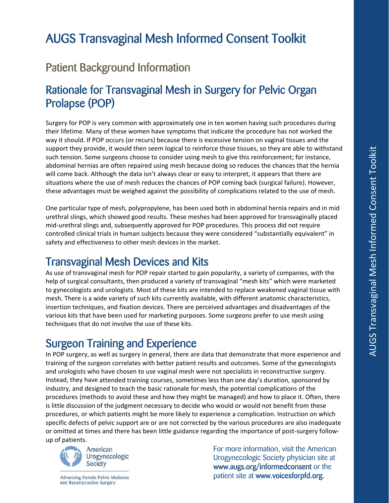# AUGS Transvaginal Mesh Informed Consent Toolkit

### Patient Background Information

#### Rationale for Transvaginal Mesh in Surgery for Pelvic Organ Prolapse (POP)

Surgery for POP is very common with approximately one in ten women having such procedures during their lifetime. Many of these women have symptoms that indicate the procedure has not worked the way it should. If POP occurs (or recurs) because there is excessive tension on vaginal tissues and the support they provide, it would then seem logical to reinforce those tissues, so they are able to withstand such tension. Some surgeons choose to consider using mesh to give this reinforcement; for instance, abdominal hernias are often repaired using mesh because doing so reduces the chances that the hernia will come back. Although the data isn't always clear or easy to interpret, it appears that there are situations where the use of mesh reduces the chances of POP coming back (surgical failure). However, these advantages must be weighed against the possibility of complications related to the use of mesh.

One particular type of mesh, polypropylene, has been used both in abdominal hernia repairs and in mid urethral slings, which showed good results. These meshes had been approved for transvaginally placed mid‐urethral slings and, subsequently approved for POP procedures. This process did not require controlled clinical trials in human subjects because they were considered "substantially equivalent" in safety and effectiveness to other mesh devices in the market.

#### Transvaginal Mesh Devices and Kits

As use of transvaginal mesh for POP repair started to gain popularity, a variety of companies, with the help of surgical consultants, then produced a variety of transvaginal "mesh kits" which were marketed to gynecologists and urologists. Most of these kits are intended to replace weakened vaginal tissue with mesh. There is a wide variety of such kits currently available, with different anatomic characteristics, insertion techniques, and fixation devices. There are perceived advantages and disadvantages of the various kits that have been used for marketing purposes. Some surgeons prefer to use mesh using techniques that do not involve the use of these kits.

#### Surgeon Training and Experience

In POP surgery, as well as surgery in general, there are data that demonstrate that more experience and training of the surgeon correlates with better patient results and outcomes. Some of the gynecologists and urologists who have chosen to use vaginal mesh were not specialists in reconstructive surgery. Instead, they have attended training courses, sometimes less than one day's duration, sponsored by industry, and designed to teach the basic rationale for mesh, the potential complications of the procedures (methods to avoid these and how they might be managed) and how to place it. Often, there is little discussion of the judgment necessary to decide who would or would not benefit from these procedures, or which patients might be more likely to experience a complication. Instruction on which specific defects of pelvic support are or are not corrected by the various procedures are also inadequate or omitted at times and there has been little guidance regarding the importance of post‐surgery follow‐ up of patients.



 For more information, visit the American Urogynecologic<br>Society<br>
Nature of *Company and Company and Company and Company and Company and Company and Company and Company and Company*  www.augs.org/informedconsent or the Advancing Female Pelvic Medicine<br>and Reconstructive Surgery<br>and Reconstructive Surgery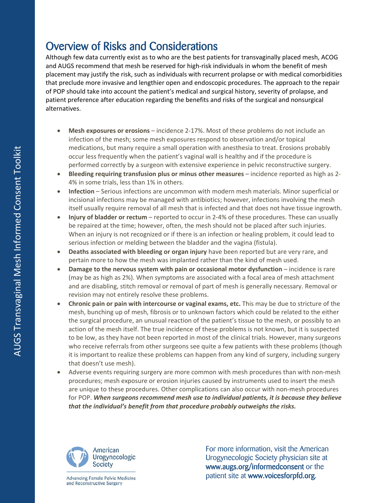### Overview of Risks and Considerations

Although few data currently exist as to who are the best patients for transvaginally placed mesh, ACOG and AUGS recommend that mesh be reserved for high-risk individuals in whom the benefit of mesh placement may justify the risk, such as individuals with recurrent prolapse or with medical comorbidities that preclude more invasive and lengthier open and endoscopic procedures. The approach to the repair of POP should take into account the patient's medical and surgical history, severity of prolapse, and patient preference after education regarding the benefits and risks of the surgical and nonsurgical alternatives.

- **Mesh exposures or erosions** incidence 2‐17%. Most of these problems do not include an infection of the mesh; some mesh exposures respond to observation and/or topical medications, but many require a small operation with anesthesia to treat. Erosions probably occur less frequently when the patient's vaginal wall is healthy and if the procedure is performed correctly by a surgeon with extensive experience in pelvic reconstructive surgery.
- **Bleeding requiring transfusion plus or minus other measures** incidence reported as high as 2‐ 4% in some trials, less than 1% in others.
- **Infection** Serious infections are uncommon with modern mesh materials. Minor superficial or incisional infections may be managed with antibiotics; however, infections involving the mesh itself usually require removal of all mesh that is infected and that does not have tissue ingrowth.
- **Injury of bladder or rectum** reported to occur in 2‐4% of these procedures. These can usually be repaired at the time; however, often, the mesh should not be placed after such injuries. When an injury is not recognized or if there is an infection or healing problem, it could lead to serious infection or melding between the bladder and the vagina (fistula).
- **Deaths associated with bleeding or organ injury** have been reported but are very rare, and pertain more to how the mesh was implanted rather than the kind of mesh used.
- **Damage to the nervous system with pain or occasional motor dysfunction** incidence is rare (may be as high as 2%). When symptoms are associated with a focal area of mesh attachment and are disabling, stitch removal or removal of part of mesh is generally necessary. Removal or revision may not entirely resolve these problems.
- **Chronic pain or pain with intercourse or vaginal exams, etc.** This may be due to stricture of the mesh, bunching up of mesh, fibrosis or to unknown factors which could be related to the either the surgical procedure, an unusual reaction of the patient's tissue to the mesh, or possibly to an action of the mesh itself. The true incidence of these problems is not known, but it is suspected to be low, as they have not been reported in most of the clinical trials. However, many surgeons who receive referrals from other surgeons see quite a few patients with these problems (though it is important to realize these problems can happen from any kind of surgery, including surgery that doesn't use mesh).
- Adverse events requiring surgery are more common with mesh procedures than with non-mesh procedures; mesh exposure or erosion injuries caused by instruments used to insert the mesh are unique to these procedures. Other complications can also occur with non-mesh procedures for POP. *When surgeons recommend mesh use to individual patients, it is because they believe that the individual's benefit from that procedure probably outweighs the risks.*



and Reconstructive Surgery

 For more information, visit the American Urogynecologic Urogynecologic Society physician site at<br>Society www.augs.org/informedconsent or the Advancing Female Pelvic Medicine **and State at Section 1 and Section** patient site at **www.voicesforpfd.org**.